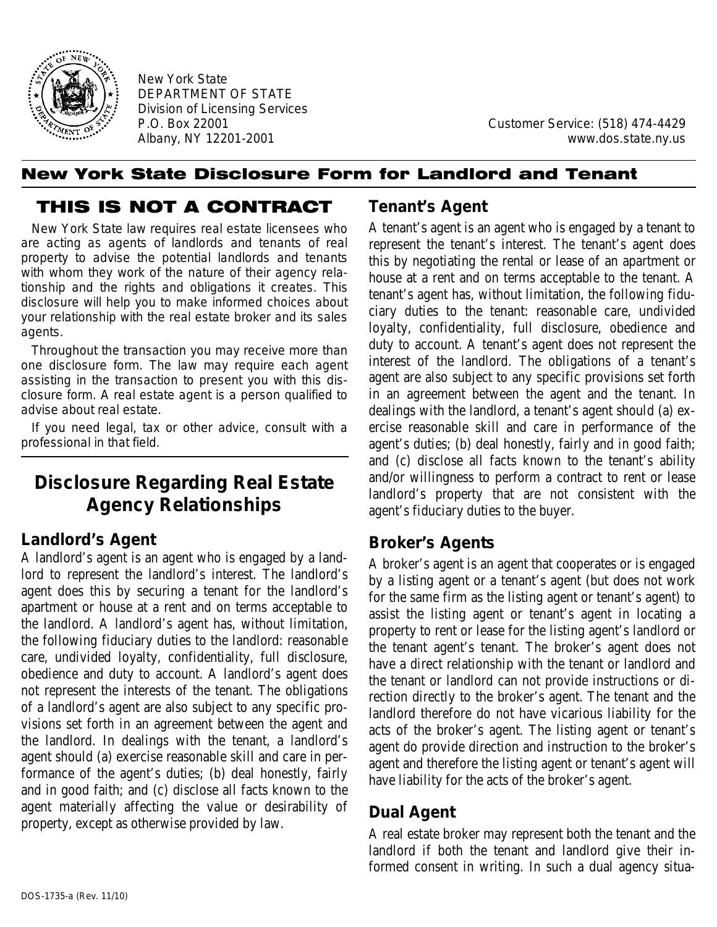

New York State DEPARTMENT OF STATE Division of Licensing Services

P.O. Box 22001 Customer Service: (518) 474-4429 Albany, NY 12201-2001 www.dos.state.ny.us

#### New York State Disclosure Form for Landlord and Tenant

## THIS IS NOT A CONTRACT

*New York State law requires real estate licensees who are acting as agents of landlords and tenants of real property to advise the potential landlords and tenants with whom they work of the nature of their agency relationship and the rights and obligations it creates. This disclosure will help you to make informed choices about your relationship with the real estate broker and its sales agents.*

*Throughout the transaction you may receive more than one disclosure form. The law may require each agent assisting in the transaction to present you with this disclosure form. A real estate agent is a person qualified to advise about real estate.*

*If you need legal, tax or other advice, consult with a professional in that field.*

# **Disclosure Regarding Real Estate Agency Relationships**

## **Landlord's Agent**

A landlord's agent is an agent who is engaged by a landlord to represent the landlord's interest. The landlord's agent does this by securing a tenant for the landlord's apartment or house at a rent and on terms acceptable to the landlord. A landlord's agent has, without limitation, the following fiduciary duties to the landlord: reasonable care, undivided loyalty, confidentiality, full disclosure, obedience and duty to account. A landlord's agent does not represent the interests of the tenant. The obligations of a landlord's agent are also subject to any specific provisions set forth in an agreement between the agent and the landlord. In dealings with the tenant, a landlord's agent should (a) exercise reasonable skill and care in performance of the agent's duties; (b) deal honestly, fairly and in good faith; and (c) disclose all facts known to the agent materially affecting the value or desirability of property, except as otherwise provided by law.

## **Tenant's Agent**

A tenant's agent is an agent who is engaged by a tenant to represent the tenant's interest. The tenant's agent does this by negotiating the rental or lease of an apartment or house at a rent and on terms acceptable to the tenant. A tenant's agent has, without limitation, the following fiduciary duties to the tenant: reasonable care, undivided loyalty, confidentiality, full disclosure, obedience and duty to account. A tenant's agent does not represent the interest of the landlord. The obligations of a tenant's agent are also subject to any specific provisions set forth in an agreement between the agent and the tenant. In dealings with the landlord, a tenant's agent should (a) exercise reasonable skill and care in performance of the agent's duties; (b) deal honestly, fairly and in good faith; and (c) disclose all facts known to the tenant's ability and/or willingness to perform a contract to rent or lease landlord's property that are not consistent with the agent's fiduciary duties to the buyer.

## **Broker's Agents**

A broker's agent is an agent that cooperates or is engaged by a listing agent or a tenant's agent (but does not work for the same firm as the listing agent or tenant's agent) to assist the listing agent or tenant's agent in locating a property to rent or lease for the listing agent's landlord or the tenant agent's tenant. The broker's agent does not have a direct relationship with the tenant or landlord and the tenant or landlord can not provide instructions or direction directly to the broker's agent. The tenant and the landlord therefore do not have vicarious liability for the acts of the broker's agent. The listing agent or tenant's agent do provide direction and instruction to the broker's agent and therefore the listing agent or tenant's agent will have liability for the acts of the broker's agent.

## **Dual Agent**

A real estate broker may represent both the tenant and the landlord if both the tenant and landlord give their informed consent in writing. In such a dual agency situa-